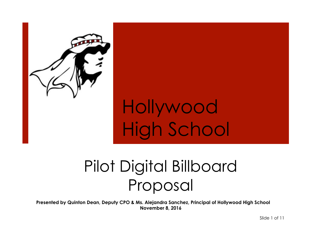

# **Hollywood** High School

## Pilot Digital Billboard Proposal

**Presented by Quinton Dean, Deputy CPO & Ms. Alejandra Sanchez, Principal of Hollywood High School November 8, 2016** 

Slide 1 of 11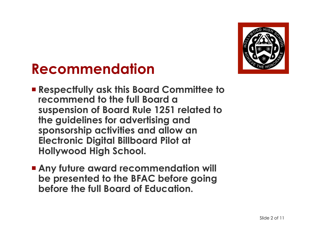

#### **Recommendation**

- ¡ **Respectfully ask this Board Committee to recommend to the full Board a suspension of Board Rule 1251 related to the guidelines for advertising and sponsorship activities and allow an Electronic Digital Billboard Pilot at Hollywood High School.**
- **E** Any future award recommendation will **be presented to the BFAC before going before the full Board of Education.**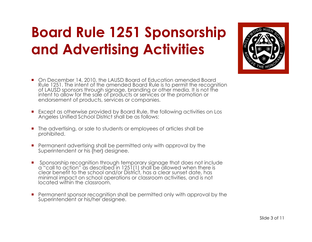## **Board Rule 1251 Sponsorship and Advertising Activities**

- On December 14, 2010, the LAUSD Board of Education amended Board Rule 1251. The intent of the amended Board Rule is to permit the recognition of LAUSD sponsors through signage, branding or other media. It is not the intent to allow for the sale of products or services or the promotion or endorsement of products, services or companies.
- Except as otherwise provided by Board Rule, the following activities on Los Angeles Unified School District shall be as follows:
- The advertising, or sale to students or employees of articles shall be prohibited.
- **•** Permanent advertising shall be permitted only with approval by the Superintendent or his {her} designee.
- ¡ Sponsorship recognition through temporary signage that does not include a "call to action" as described in 1251(1) shall be allowed when there is clear benefit to the school and/or District, has a clear sunset date, has minimal impact on school operations or classroom activities, and is not located within the classroom.
- Permanent sponsor recognition shall be permitted only with approval by the Superintendent or his/her designee.

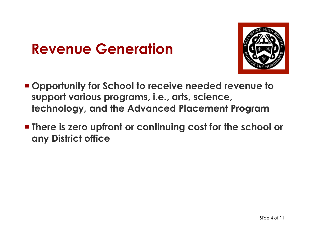#### **Revenue Generation**



- ¡ **Opportunity for School to receive needed revenue to support various programs, i.e., arts, science, technology, and the Advanced Placement Program**
- **<u>■ There is zero upfront or continuing cost for the school or</u> any District office**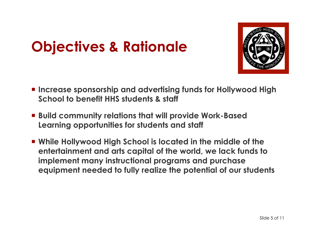## **Objectives & Rationale**



- ¡ **Increase sponsorship and advertising funds for Hollywood High School to benefit HHS students & staff**
- ¡ **Build community relations that will provide Work-Based Learning opportunities for students and staff**
- ¡ **While Hollywood High School is located in the middle of the entertainment and arts capital of the world, we lack funds to implement many instructional programs and purchase equipment needed to fully realize the potential of our students**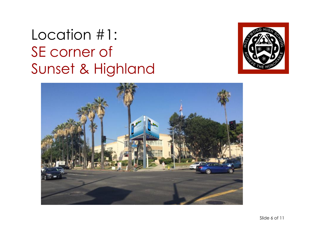#### Location #1: SE corner of Sunset & Highland



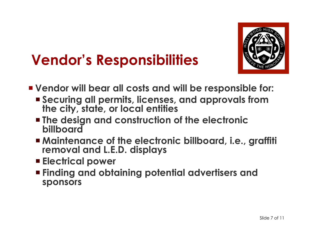

#### **Vendor's Responsibilities**

- ¡ **Vendor will bear all costs and will be responsible for:** 
	- ¡ **Securing all permits, licenses, and approvals from the city, state, or local entities**
	- ¡ **The design and construction of the electronic billboard**
	- ¡ **Maintenance of the electronic billboard, i.e., graffiti removal and L.E.D. displays**
	- ¡ **Electrical power**
	- ¡ **Finding and obtaining potential advertisers and sponsors**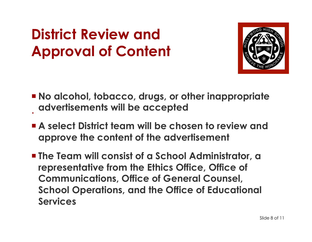## **District Review and Approval of Content**



- . ¡ **No alcohol, tobacco, drugs, or other inappropriate advertisements will be accepted**
- **Example 2 Select District team will be chosen to review and approve the content of the advertisement**
- ¡ **The Team will consist of a School Administrator, a representative from the Ethics Office, Office of Communications, Office of General Counsel, School Operations, and the Office of Educational Services**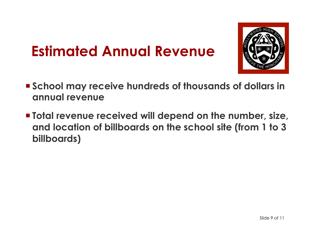### **Estimated Annual Revenue**



- School may receive hundreds of thousands of dollars in **annual revenue**
- **Total revenue received will depend on the number, size, and location of billboards on the school site (from 1 to 3 billboards)**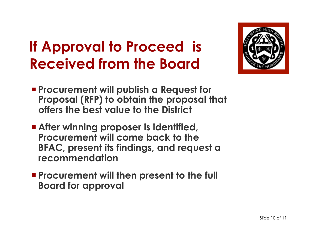## **If Approval to Proceed is Received from the Board**



- ¡ **Procurement will publish a Request for Proposal (RFP) to obtain the proposal that offers the best value to the District**
- **Example Theory in After winning proposer is identified, Procurement will come back to the BFAC, present its findings, and request a recommendation**
- ¡ **Procurement will then present to the full Board for approval**